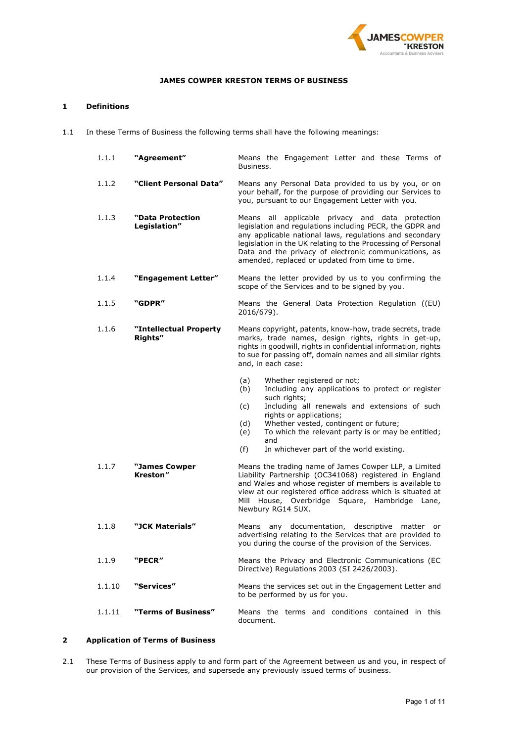

## **JAMES COWPER KRESTON TERMS OF BUSINESS**

## **1 Definitions**

1.1 In these Terms of Business the following terms shall have the following meanings:

| 1.1.1  | "Agreement"                       | Means the Engagement Letter and these Terms of<br>Business.                                                                                                                                                                                                                                                                                                             |
|--------|-----------------------------------|-------------------------------------------------------------------------------------------------------------------------------------------------------------------------------------------------------------------------------------------------------------------------------------------------------------------------------------------------------------------------|
| 1.1.2  | "Client Personal Data"            | Means any Personal Data provided to us by you, or on<br>your behalf, for the purpose of providing our Services to<br>you, pursuant to our Engagement Letter with you.                                                                                                                                                                                                   |
| 1.1.3  | "Data Protection<br>Legislation"  | applicable privacy and data protection<br>Means all<br>legislation and regulations including PECR, the GDPR and<br>any applicable national laws, regulations and secondary<br>legislation in the UK relating to the Processing of Personal<br>Data and the privacy of electronic communications, as<br>amended, replaced or updated from time to time.                  |
| 1.1.4  | "Engagement Letter"               | Means the letter provided by us to you confirming the<br>scope of the Services and to be signed by you.                                                                                                                                                                                                                                                                 |
| 1.1.5  | "GDPR"                            | Means the General Data Protection Regulation ((EU)<br>2016/679).                                                                                                                                                                                                                                                                                                        |
| 1.1.6  | "Intellectual Property<br>Rights" | Means copyright, patents, know-how, trade secrets, trade<br>marks, trade names, design rights, rights in get-up,<br>rights in goodwill, rights in confidential information, rights<br>to sue for passing off, domain names and all similar rights<br>and, in each case:                                                                                                 |
|        |                                   | (a)<br>Whether registered or not;<br>Including any applications to protect or register<br>(b)<br>such rights:<br>Including all renewals and extensions of such<br>(c)<br>rights or applications;<br>Whether vested, contingent or future;<br>(d)<br>To which the relevant party is or may be entitled;<br>(e)<br>and<br>(f)<br>In whichever part of the world existing. |
| 1.1.7  | "James Cowper<br>Kreston"         | Means the trading name of James Cowper LLP, a Limited<br>Liability Partnership (OC341068) registered in England<br>and Wales and whose register of members is available to<br>view at our registered office address which is situated at<br>Mill House, Overbridge Square, Hambridge Lane,<br>Newbury RG14 5UX.                                                         |
| 1.1.8  | "JCK Materials"                   | Means any documentation, descriptive<br>matter<br>or<br>advertising relating to the Services that are provided to<br>you during the course of the provision of the Services.                                                                                                                                                                                            |
| 1.1.9  | "PECR"                            | Means the Privacy and Electronic Communications (EC<br>Directive) Regulations 2003 (SI 2426/2003).                                                                                                                                                                                                                                                                      |
| 1.1.10 | "Services"                        | Means the services set out in the Engagement Letter and<br>to be performed by us for you.                                                                                                                                                                                                                                                                               |
| 1.1.11 | "Terms of Business"               | Means the terms and conditions contained in this<br>document.                                                                                                                                                                                                                                                                                                           |

## **2 Application of Terms of Business**

2.1 These Terms of Business apply to and form part of the Agreement between us and you, in respect of our provision of the Services, and supersede any previously issued terms of business.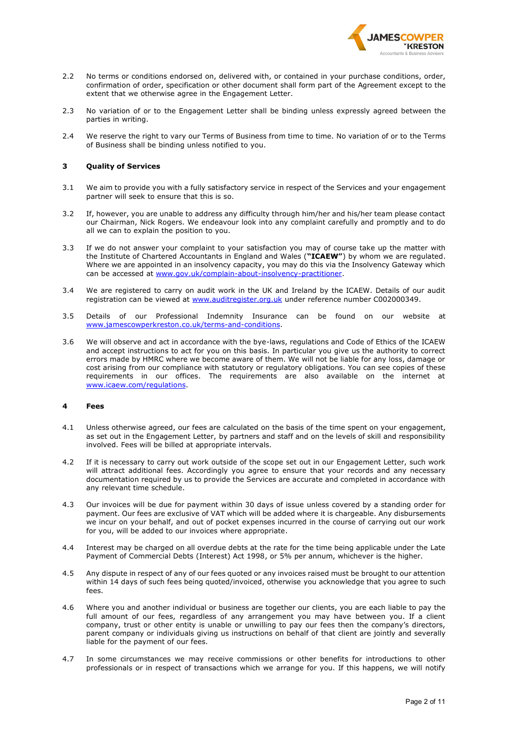

- 2.2 No terms or conditions endorsed on, delivered with, or contained in your purchase conditions, order, confirmation of order, specification or other document shall form part of the Agreement except to the extent that we otherwise agree in the Engagement Letter.
- 2.3 No variation of or to the Engagement Letter shall be binding unless expressly agreed between the parties in writing.
- 2.4 We reserve the right to vary our Terms of Business from time to time. No variation of or to the Terms of Business shall be binding unless notified to you.

#### **3 Quality of Services**

- 3.1 We aim to provide you with a fully satisfactory service in respect of the Services and your engagement partner will seek to ensure that this is so.
- 3.2 If, however, you are unable to address any difficulty through him/her and his/her team please contact our Chairman, Nick Rogers. We endeavour look into any complaint carefully and promptly and to do all we can to explain the position to you.
- 3.3 If we do not answer your complaint to your satisfaction you may of course take up the matter with the Institute of Chartered Accountants in England and Wales (**"ICAEW"**) by whom we are regulated. Where we are appointed in an insolvency capacity, you may do this via the Insolvency Gateway which can be accessed at www.gov.uk/complain-about-insolvency-practitioner.
- 3.4 We are registered to carry on audit work in the UK and Ireland by the ICAEW. Details of our audit registration can be viewed at www.auditregister.org.uk under reference number C002000349.
- 3.5 Details of our Professional Indemnity Insurance can be found on our website at www.jamescowperkreston.co.uk/terms-and-conditions.
- 3.6 We will observe and act in accordance with the bye-laws, regulations and Code of Ethics of the ICAEW and accept instructions to act for you on this basis. In particular you give us the authority to correct errors made by HMRC where we become aware of them. We will not be liable for any loss, damage or cost arising from our compliance with statutory or regulatory obligations. You can see copies of these requirements in our offices. The requirements are also available on the internet at www.icaew.com/regulations.

#### **4 Fees**

- 4.1 Unless otherwise agreed, our fees are calculated on the basis of the time spent on your engagement, as set out in the Engagement Letter, by partners and staff and on the levels of skill and responsibility involved. Fees will be billed at appropriate intervals.
- 4.2 If it is necessary to carry out work outside of the scope set out in our Engagement Letter, such work will attract additional fees. Accordingly you agree to ensure that your records and any necessary documentation required by us to provide the Services are accurate and completed in accordance with any relevant time schedule.
- 4.3 Our invoices will be due for payment within 30 days of issue unless covered by a standing order for payment. Our fees are exclusive of VAT which will be added where it is chargeable. Any disbursements we incur on your behalf, and out of pocket expenses incurred in the course of carrying out our work for you, will be added to our invoices where appropriate.
- 4.4 Interest may be charged on all overdue debts at the rate for the time being applicable under the Late Payment of Commercial Debts (Interest) Act 1998, or 5% per annum, whichever is the higher.
- 4.5 Any dispute in respect of any of our fees quoted or any invoices raised must be brought to our attention within 14 days of such fees being quoted/invoiced, otherwise you acknowledge that you agree to such fees.
- 4.6 Where you and another individual or business are together our clients, you are each liable to pay the full amount of our fees, regardless of any arrangement you may have between you. If a client company, trust or other entity is unable or unwilling to pay our fees then the company's directors, parent company or individuals giving us instructions on behalf of that client are jointly and severally liable for the payment of our fees.
- 4.7 In some circumstances we may receive commissions or other benefits for introductions to other professionals or in respect of transactions which we arrange for you. If this happens, we will notify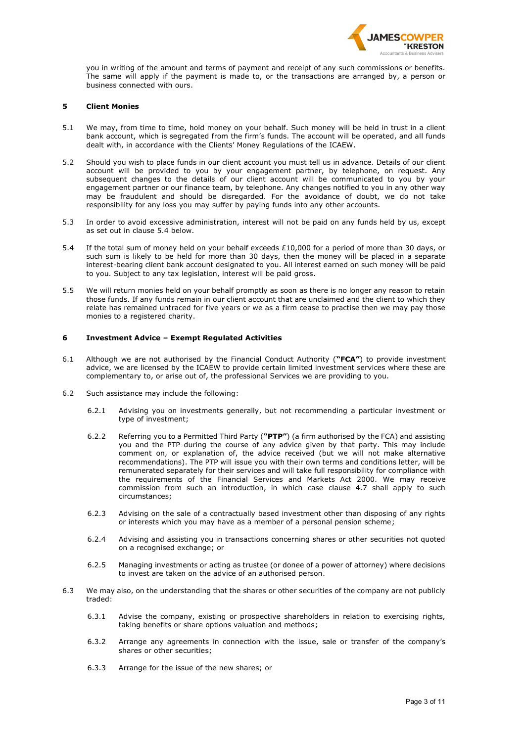

you in writing of the amount and terms of payment and receipt of any such commissions or benefits. The same will apply if the payment is made to, or the transactions are arranged by, a person or business connected with ours.

#### **5 Client Monies**

- 5.1 We may, from time to time, hold money on your behalf. Such money will be held in trust in a client bank account, which is segregated from the firm's funds. The account will be operated, and all funds dealt with, in accordance with the Clients' Money Regulations of the ICAEW.
- 5.2 Should you wish to place funds in our client account you must tell us in advance. Details of our client account will be provided to you by your engagement partner, by telephone, on request. Any subsequent changes to the details of our client account will be communicated to you by your engagement partner or our finance team, by telephone. Any changes notified to you in any other way may be fraudulent and should be disregarded. For the avoidance of doubt, we do not take responsibility for any loss you may suffer by paying funds into any other accounts.
- 5.3 In order to avoid excessive administration, interest will not be paid on any funds held by us, except as set out in clause 5.4 below.
- 5.4 If the total sum of money held on your behalf exceeds £10,000 for a period of more than 30 days, or such sum is likely to be held for more than 30 days, then the money will be placed in a separate interest-bearing client bank account designated to you. All interest earned on such money will be paid to you. Subject to any tax legislation, interest will be paid gross.
- 5.5 We will return monies held on your behalf promptly as soon as there is no longer any reason to retain those funds. If any funds remain in our client account that are unclaimed and the client to which they relate has remained untraced for five years or we as a firm cease to practise then we may pay those monies to a registered charity.

#### **6 Investment Advice – Exempt Regulated Activities**

- 6.1 Although we are not authorised by the Financial Conduct Authority (**"FCA"**) to provide investment advice, we are licensed by the ICAEW to provide certain limited investment services where these are complementary to, or arise out of, the professional Services we are providing to you.
- 6.2 Such assistance may include the following:
	- 6.2.1 Advising you on investments generally, but not recommending a particular investment or type of investment;
	- 6.2.2 Referring you to a Permitted Third Party (**"PTP"**) (a firm authorised by the FCA) and assisting you and the PTP during the course of any advice given by that party. This may include comment on, or explanation of, the advice received (but we will not make alternative recommendations). The PTP will issue you with their own terms and conditions letter, will be remunerated separately for their services and will take full responsibility for compliance with the requirements of the Financial Services and Markets Act 2000. We may receive commission from such an introduction, in which case clause 4.7 shall apply to such circumstances;
	- 6.2.3 Advising on the sale of a contractually based investment other than disposing of any rights or interests which you may have as a member of a personal pension scheme;
	- 6.2.4 Advising and assisting you in transactions concerning shares or other securities not quoted on a recognised exchange; or
	- 6.2.5 Managing investments or acting as trustee (or donee of a power of attorney) where decisions to invest are taken on the advice of an authorised person.
- 6.3 We may also, on the understanding that the shares or other securities of the company are not publicly traded:
	- 6.3.1 Advise the company, existing or prospective shareholders in relation to exercising rights, taking benefits or share options valuation and methods;
	- 6.3.2 Arrange any agreements in connection with the issue, sale or transfer of the company's shares or other securities;
	- 6.3.3 Arrange for the issue of the new shares; or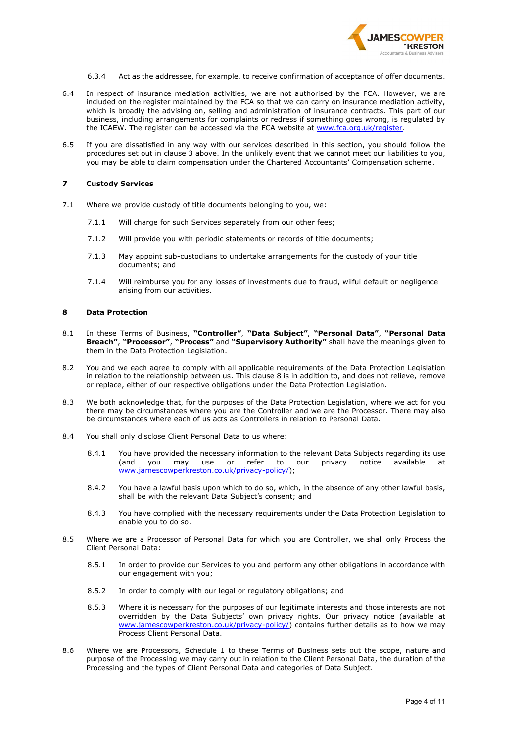

- 6.3.4 Act as the addressee, for example, to receive confirmation of acceptance of offer documents.
- 6.4 In respect of insurance mediation activities, we are not authorised by the FCA. However, we are included on the register maintained by the FCA so that we can carry on insurance mediation activity, which is broadly the advising on, selling and administration of insurance contracts. This part of our business, including arrangements for complaints or redress if something goes wrong, is regulated by the ICAEW. The register can be accessed via the FCA website at www.fca.org.uk/register.
- 6.5 If you are dissatisfied in any way with our services described in this section, you should follow the procedures set out in clause 3 above. In the unlikely event that we cannot meet our liabilities to you, you may be able to claim compensation under the Chartered Accountants' Compensation scheme.

## **7 Custody Services**

- 7.1 Where we provide custody of title documents belonging to you, we:
	- 7.1.1 Will charge for such Services separately from our other fees;
	- 7.1.2 Will provide you with periodic statements or records of title documents;
	- 7.1.3 May appoint sub-custodians to undertake arrangements for the custody of your title documents; and
	- 7.1.4 Will reimburse you for any losses of investments due to fraud, wilful default or negligence arising from our activities.

#### **8 Data Protection**

- 8.1 In these Terms of Business, **"Controller"**, **"Data Subject"**, **"Personal Data"**, **"Personal Data Breach"**, **"Processor"**, **"Process"** and **"Supervisory Authority"** shall have the meanings given to them in the Data Protection Legislation.
- 8.2 You and we each agree to comply with all applicable requirements of the Data Protection Legislation in relation to the relationship between us. This clause 8 is in addition to, and does not relieve, remove or replace, either of our respective obligations under the Data Protection Legislation.
- 8.3 We both acknowledge that, for the purposes of the Data Protection Legislation, where we act for you there may be circumstances where you are the Controller and we are the Processor. There may also be circumstances where each of us acts as Controllers in relation to Personal Data.
- 8.4 You shall only disclose Client Personal Data to us where:
	- 8.4.1 You have provided the necessary information to the relevant Data Subjects regarding its use<br>(and you may use or refer to our privacy notice available at vou may use or refer to our privacy notice available at www.jamescowperkreston.co.uk/privacy-policy/);
	- 8.4.2 You have a lawful basis upon which to do so, which, in the absence of any other lawful basis, shall be with the relevant Data Subject's consent; and
	- 8.4.3 You have complied with the necessary requirements under the Data Protection Legislation to enable you to do so.
- 8.5 Where we are a Processor of Personal Data for which you are Controller, we shall only Process the Client Personal Data:
	- 8.5.1 In order to provide our Services to you and perform any other obligations in accordance with our engagement with you;
	- 8.5.2 In order to comply with our legal or regulatory obligations; and
	- 8.5.3 Where it is necessary for the purposes of our legitimate interests and those interests are not overridden by the Data Subjects' own privacy rights. Our privacy notice (available at www.jamescowperkreston.co.uk/privacy-policy/) contains further details as to how we may Process Client Personal Data.
- 8.6 Where we are Processors, Schedule 1 to these Terms of Business sets out the scope, nature and purpose of the Processing we may carry out in relation to the Client Personal Data, the duration of the Processing and the types of Client Personal Data and categories of Data Subject.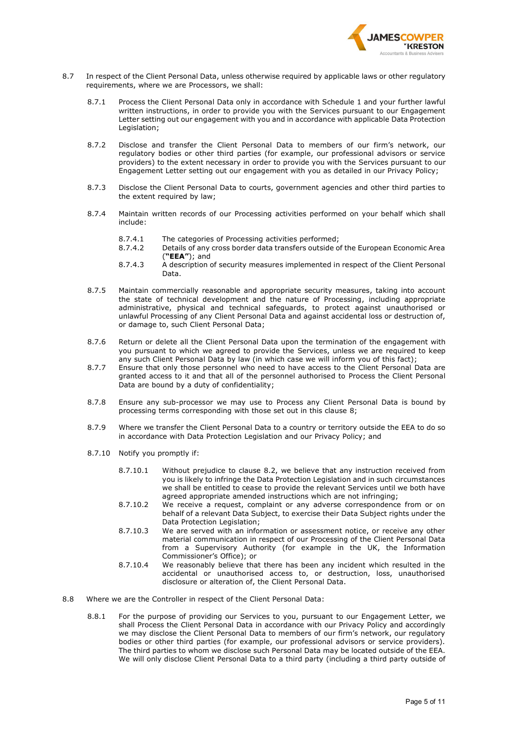

- 8.7 In respect of the Client Personal Data, unless otherwise required by applicable laws or other regulatory requirements, where we are Processors, we shall:
	- 8.7.1 Process the Client Personal Data only in accordance with Schedule 1 and your further lawful written instructions, in order to provide you with the Services pursuant to our Engagement Letter setting out our engagement with you and in accordance with applicable Data Protection Legislation;
	- 8.7.2 Disclose and transfer the Client Personal Data to members of our firm's network, our regulatory bodies or other third parties (for example, our professional advisors or service providers) to the extent necessary in order to provide you with the Services pursuant to our Engagement Letter setting out our engagement with you as detailed in our Privacy Policy;
	- 8.7.3 Disclose the Client Personal Data to courts, government agencies and other third parties to the extent required by law;
	- 8.7.4 Maintain written records of our Processing activities performed on your behalf which shall include:
		- 8.7.4.1 The categories of Processing activities performed;<br>8.7.4.2 Details of any cross border data transfers outside of
			- 8.7.4.2 Details of any cross border data transfers outside of the European Economic Area (**"EEA"**); and
		- 8.7.4.3 A description of security measures implemented in respect of the Client Personal Data.
	- 8.7.5 Maintain commercially reasonable and appropriate security measures, taking into account the state of technical development and the nature of Processing, including appropriate administrative, physical and technical safeguards, to protect against unauthorised or unlawful Processing of any Client Personal Data and against accidental loss or destruction of, or damage to, such Client Personal Data;
	- 8.7.6 Return or delete all the Client Personal Data upon the termination of the engagement with you pursuant to which we agreed to provide the Services, unless we are required to keep any such Client Personal Data by law (in which case we will inform you of this fact);
	- 8.7.7 Ensure that only those personnel who need to have access to the Client Personal Data are granted access to it and that all of the personnel authorised to Process the Client Personal Data are bound by a duty of confidentiality;
	- 8.7.8 Ensure any sub-processor we may use to Process any Client Personal Data is bound by processing terms corresponding with those set out in this clause 8;
	- 8.7.9 Where we transfer the Client Personal Data to a country or territory outside the EEA to do so in accordance with Data Protection Legislation and our Privacy Policy; and
	- 8.7.10 Notify you promptly if:
		- 8.7.10.1 Without prejudice to clause 8.2, we believe that any instruction received from you is likely to infringe the Data Protection Legislation and in such circumstances we shall be entitled to cease to provide the relevant Services until we both have agreed appropriate amended instructions which are not infringing;
		- 8.7.10.2 We receive a request, complaint or any adverse correspondence from or on behalf of a relevant Data Subject, to exercise their Data Subject rights under the Data Protection Legislation;
		- 8.7.10.3 We are served with an information or assessment notice, or receive any other material communication in respect of our Processing of the Client Personal Data from a Supervisory Authority (for example in the UK, the Information Commissioner's Office); or
		- 8.7.10.4 We reasonably believe that there has been any incident which resulted in the accidental or unauthorised access to, or destruction, loss, unauthorised disclosure or alteration of, the Client Personal Data.
- 8.8 Where we are the Controller in respect of the Client Personal Data:
	- 8.8.1 For the purpose of providing our Services to you, pursuant to our Engagement Letter, we shall Process the Client Personal Data in accordance with our Privacy Policy and accordingly we may disclose the Client Personal Data to members of our firm's network, our regulatory bodies or other third parties (for example, our professional advisors or service providers). The third parties to whom we disclose such Personal Data may be located outside of the EEA. We will only disclose Client Personal Data to a third party (including a third party outside of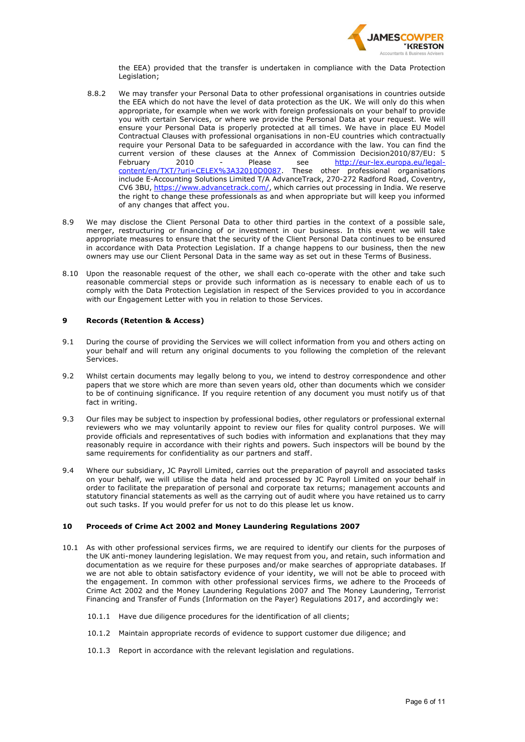

the EEA) provided that the transfer is undertaken in compliance with the Data Protection Legislation;

- 8.8.2 We may transfer your Personal Data to other professional organisations in countries outside the EEA which do not have the level of data protection as the UK. We will only do this when appropriate, for example when we work with foreign professionals on your behalf to provide you with certain Services, or where we provide the Personal Data at your request. We will ensure your Personal Data is properly protected at all times. We have in place EU Model Contractual Clauses with professional organisations in non-EU countries which contractually require your Personal Data to be safeguarded in accordance with the law. You can find the current version of these clauses at the Annex of Commission Decision2010/87/EU: 5<br>February 2010 - Please see http://eur-lex.europa.eu/legal-February 2010 - Please see http://eur-lex.europa.eu/legalcontent/en/TXT/?uri=CELEX%3A32010D0087. These other professional organisations include E-Accounting Solutions Limited T/A AdvanceTrack, 270-272 Radford Road, Coventry, CV6 3BU, https://www.advancetrack.com/, which carries out processing in India. We reserve the right to change these professionals as and when appropriate but will keep you informed of any changes that affect you.
- 8.9 We may disclose the Client Personal Data to other third parties in the context of a possible sale, merger, restructuring or financing of or investment in our business. In this event we will take appropriate measures to ensure that the security of the Client Personal Data continues to be ensured in accordance with Data Protection Legislation. If a change happens to our business, then the new owners may use our Client Personal Data in the same way as set out in these Terms of Business.
- 8.10 Upon the reasonable request of the other, we shall each co-operate with the other and take such reasonable commercial steps or provide such information as is necessary to enable each of us to comply with the Data Protection Legislation in respect of the Services provided to you in accordance with our Engagement Letter with you in relation to those Services.

#### **9 Records (Retention & Access)**

- 9.1 During the course of providing the Services we will collect information from you and others acting on your behalf and will return any original documents to you following the completion of the relevant Services.
- 9.2 Whilst certain documents may legally belong to you, we intend to destroy correspondence and other papers that we store which are more than seven years old, other than documents which we consider to be of continuing significance. If you require retention of any document you must notify us of that fact in writing.
- 9.3 Our files may be subject to inspection by professional bodies, other regulators or professional external reviewers who we may voluntarily appoint to review our files for quality control purposes. We will provide officials and representatives of such bodies with information and explanations that they may reasonably require in accordance with their rights and powers. Such inspectors will be bound by the same requirements for confidentiality as our partners and staff.
- 9.4 Where our subsidiary, JC Payroll Limited, carries out the preparation of payroll and associated tasks on your behalf, we will utilise the data held and processed by JC Payroll Limited on your behalf in order to facilitate the preparation of personal and corporate tax returns; management accounts and statutory financial statements as well as the carrying out of audit where you have retained us to carry out such tasks. If you would prefer for us not to do this please let us know.

#### **10 Proceeds of Crime Act 2002 and Money Laundering Regulations 2007**

- 10.1 As with other professional services firms, we are required to identify our clients for the purposes of the UK anti-money laundering legislation. We may request from you, and retain, such information and documentation as we require for these purposes and/or make searches of appropriate databases. If we are not able to obtain satisfactory evidence of your identity, we will not be able to proceed with the engagement. In common with other professional services firms, we adhere to the Proceeds of Crime Act 2002 and the Money Laundering Regulations 2007 and The Money Laundering, Terrorist Financing and Transfer of Funds (Information on the Payer) Regulations 2017, and accordingly we:
	- 10.1.1 Have due diligence procedures for the identification of all clients;
	- 10.1.2 Maintain appropriate records of evidence to support customer due diligence; and
	- 10.1.3 Report in accordance with the relevant legislation and regulations.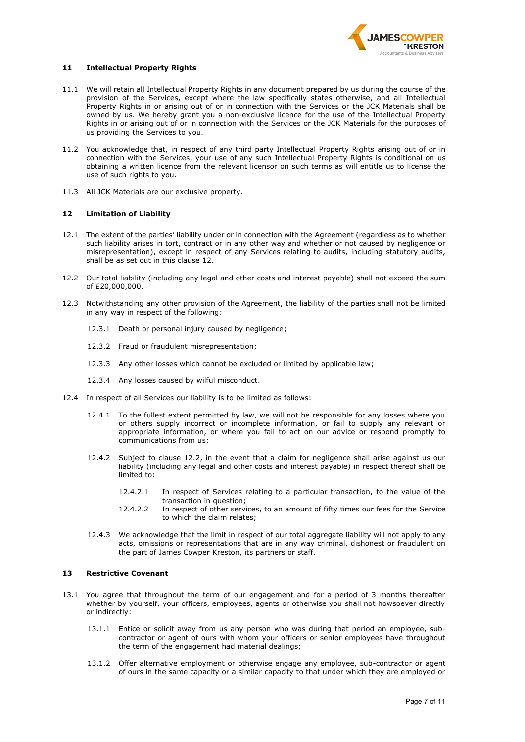

#### **11 Intellectual Property Rights**

- 11.1 We will retain all Intellectual Property Rights in any document prepared by us during the course of the provision of the Services, except where the law specifically states otherwise, and all Intellectual Property Rights in or arising out of or in connection with the Services or the JCK Materials shall be owned by us. We hereby grant you a non-exclusive licence for the use of the Intellectual Property Rights in or arising out of or in connection with the Services or the JCK Materials for the purposes of us providing the Services to you.
- 11.2 You acknowledge that, in respect of any third party Intellectual Property Rights arising out of or in connection with the Services, your use of any such Intellectual Property Rights is conditional on us obtaining a written licence from the relevant licensor on such terms as will entitle us to license the use of such rights to you.
- 11.3 All JCK Materials are our exclusive property.

#### **12 Limitation of Liability**

- 12.1 The extent of the parties' liability under or in connection with the Agreement (regardless as to whether such liability arises in tort, contract or in any other way and whether or not caused by negligence or misrepresentation), except in respect of any Services relating to audits, including statutory audits, shall be as set out in this clause 12.
- 12.2 Our total liability (including any legal and other costs and interest payable) shall not exceed the sum of £20,000,000.
- 12.3 Notwithstanding any other provision of the Agreement, the liability of the parties shall not be limited in any way in respect of the following:
	- 12.3.1 Death or personal injury caused by negligence:
	- 12.3.2 Fraud or fraudulent misrepresentation;
	- 12.3.3 Any other losses which cannot be excluded or limited by applicable law;
	- 12.3.4 Any losses caused by wilful misconduct.
- 12.4 In respect of all Services our liability is to be limited as follows:
	- 12.4.1 To the fullest extent permitted by law, we will not be responsible for any losses where you or others supply incorrect or incomplete information, or fail to supply any relevant or appropriate information, or where you fail to act on our advice or respond promptly to communications from us;
	- 12.4.2 Subject to clause 12.2, in the event that a claim for negligence shall arise against us our liability (including any legal and other costs and interest payable) in respect thereof shall be limited to:
		- 12.4.2.1 In respect of Services relating to a particular transaction, to the value of the transaction in question;
		- 12.4.2.2 In respect of other services, to an amount of fifty times our fees for the Service to which the claim relates;
	- 12.4.3 We acknowledge that the limit in respect of our total aggregate liability will not apply to any acts, omissions or representations that are in any way criminal, dishonest or fraudulent on the part of James Cowper Kreston, its partners or staff.

## **13 Restrictive Covenant**

- 13.1 You agree that throughout the term of our engagement and for a period of 3 months thereafter whether by yourself, your officers, employees, agents or otherwise you shall not howsoever directly or indirectly:
	- 13.1.1 Entice or solicit away from us any person who was during that period an employee, subcontractor or agent of ours with whom your officers or senior employees have throughout the term of the engagement had material dealings;
	- 13.1.2 Offer alternative employment or otherwise engage any employee, sub-contractor or agent of ours in the same capacity or a similar capacity to that under which they are employed or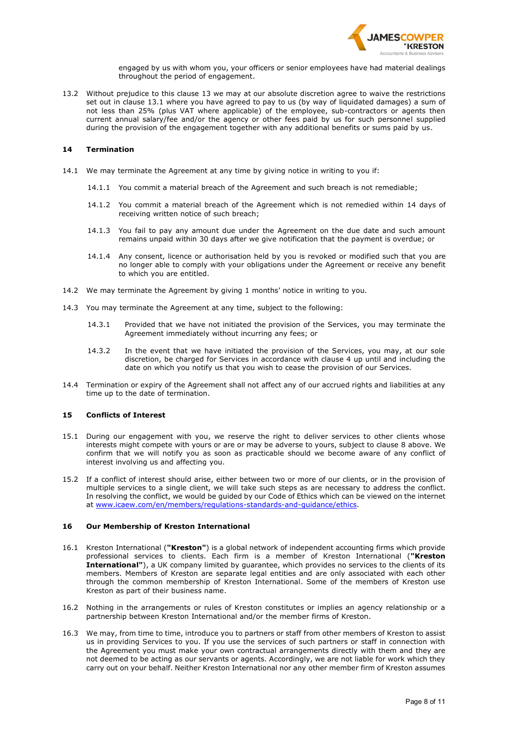

engaged by us with whom you, your officers or senior employees have had material dealings throughout the period of engagement.

13.2 Without prejudice to this clause 13 we may at our absolute discretion agree to waive the restrictions set out in clause 13.1 where you have agreed to pay to us (by way of liquidated damages) a sum of not less than 25% (plus VAT where applicable) of the employee, sub-contractors or agents then current annual salary/fee and/or the agency or other fees paid by us for such personnel supplied during the provision of the engagement together with any additional benefits or sums paid by us.

## **14 Termination**

- 14.1 We may terminate the Agreement at any time by giving notice in writing to you if:
	- 14.1.1 You commit a material breach of the Agreement and such breach is not remediable;
	- 14.1.2 You commit a material breach of the Agreement which is not remedied within 14 days of receiving written notice of such breach;
	- 14.1.3 You fail to pay any amount due under the Agreement on the due date and such amount remains unpaid within 30 days after we give notification that the payment is overdue; or
	- 14.1.4 Any consent, licence or authorisation held by you is revoked or modified such that you are no longer able to comply with your obligations under the Agreement or receive any benefit to which you are entitled.
- 14.2 We may terminate the Agreement by giving 1 months' notice in writing to you.
- 14.3 You may terminate the Agreement at any time, subject to the following:
	- 14.3.1 Provided that we have not initiated the provision of the Services, you may terminate the Agreement immediately without incurring any fees; or
	- 14.3.2 In the event that we have initiated the provision of the Services, you may, at our sole discretion, be charged for Services in accordance with clause 4 up until and including the date on which you notify us that you wish to cease the provision of our Services.
- 14.4 Termination or expiry of the Agreement shall not affect any of our accrued rights and liabilities at any time up to the date of termination.

#### **15 Conflicts of Interest**

- 15.1 During our engagement with you, we reserve the right to deliver services to other clients whose interests might compete with yours or are or may be adverse to yours, subject to clause 8 above. We confirm that we will notify you as soon as practicable should we become aware of any conflict of interest involving us and affecting you.
- 15.2 If a conflict of interest should arise, either between two or more of our clients, or in the provision of multiple services to a single client, we will take such steps as are necessary to address the conflict. In resolving the conflict, we would be guided by our Code of Ethics which can be viewed on the internet at www.icaew.com/en/members/regulations-standards-and-guidance/ethics.

#### **16 Our Membership of Kreston International**

- 16.1 Kreston International (**"Kreston"**) is a global network of independent accounting firms which provide professional services to clients. Each firm is a member of Kreston International (**"Kreston International"**), a UK company limited by guarantee, which provides no services to the clients of its members. Members of Kreston are separate legal entities and are only associated with each other through the common membership of Kreston International. Some of the members of Kreston use Kreston as part of their business name.
- 16.2 Nothing in the arrangements or rules of Kreston constitutes or implies an agency relationship or a partnership between Kreston International and/or the member firms of Kreston.
- 16.3 We may, from time to time, introduce you to partners or staff from other members of Kreston to assist us in providing Services to you. If you use the services of such partners or staff in connection with the Agreement you must make your own contractual arrangements directly with them and they are not deemed to be acting as our servants or agents. Accordingly, we are not liable for work which they carry out on your behalf. Neither Kreston International nor any other member firm of Kreston assumes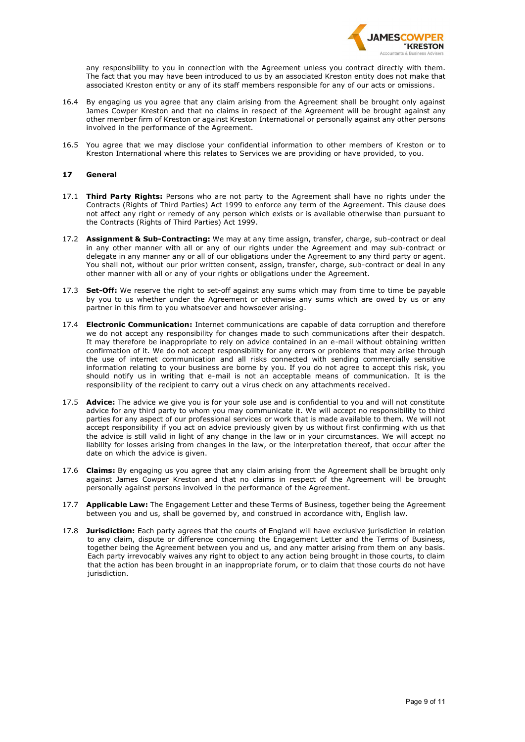

any responsibility to you in connection with the Agreement unless you contract directly with them. The fact that you may have been introduced to us by an associated Kreston entity does not make that associated Kreston entity or any of its staff members responsible for any of our acts or omissions.

- 16.4 By engaging us you agree that any claim arising from the Agreement shall be brought only against James Cowper Kreston and that no claims in respect of the Agreement will be brought against any other member firm of Kreston or against Kreston International or personally against any other persons involved in the performance of the Agreement.
- 16.5 You agree that we may disclose your confidential information to other members of Kreston or to Kreston International where this relates to Services we are providing or have provided, to you.

#### **17 General**

- 17.1 **Third Party Rights:** Persons who are not party to the Agreement shall have no rights under the Contracts (Rights of Third Parties) Act 1999 to enforce any term of the Agreement. This clause does not affect any right or remedy of any person which exists or is available otherwise than pursuant to the Contracts (Rights of Third Parties) Act 1999.
- 17.2 **Assignment & Sub-Contracting:** We may at any time assign, transfer, charge, sub-contract or deal in any other manner with all or any of our rights under the Agreement and may sub-contract or delegate in any manner any or all of our obligations under the Agreement to any third party or agent. You shall not, without our prior written consent, assign, transfer, charge, sub-contract or deal in any other manner with all or any of your rights or obligations under the Agreement.
- 17.3 **Set-Off:** We reserve the right to set-off against any sums which may from time to time be payable by you to us whether under the Agreement or otherwise any sums which are owed by us or any partner in this firm to you whatsoever and howsoever arising.
- 17.4 **Electronic Communication:** Internet communications are capable of data corruption and therefore we do not accept any responsibility for changes made to such communications after their despatch. It may therefore be inappropriate to rely on advice contained in an e-mail without obtaining written confirmation of it. We do not accept responsibility for any errors or problems that may arise through the use of internet communication and all risks connected with sending commercially sensitive information relating to your business are borne by you. If you do not agree to accept this risk, you should notify us in writing that e-mail is not an acceptable means of communication. It is the responsibility of the recipient to carry out a virus check on any attachments received.
- 17.5 **Advice:** The advice we give you is for your sole use and is confidential to you and will not constitute advice for any third party to whom you may communicate it. We will accept no responsibility to third parties for any aspect of our professional services or work that is made available to them. We will not accept responsibility if you act on advice previously given by us without first confirming with us that the advice is still valid in light of any change in the law or in your circumstances. We will accept no liability for losses arising from changes in the law, or the interpretation thereof, that occur after the date on which the advice is given.
- 17.6 **Claims:** By engaging us you agree that any claim arising from the Agreement shall be brought only against James Cowper Kreston and that no claims in respect of the Agreement will be brought personally against persons involved in the performance of the Agreement.
- 17.7 **Applicable Law:** The Engagement Letter and these Terms of Business, together being the Agreement between you and us, shall be governed by, and construed in accordance with, English law.
- 17.8 **Jurisdiction:** Each party agrees that the courts of England will have exclusive jurisdiction in relation to any claim, dispute or difference concerning the Engagement Letter and the Terms of Business, together being the Agreement between you and us, and any matter arising from them on any basis. Each party irrevocably waives any right to object to any action being brought in those courts, to claim that the action has been brought in an inappropriate forum, or to claim that those courts do not have jurisdiction.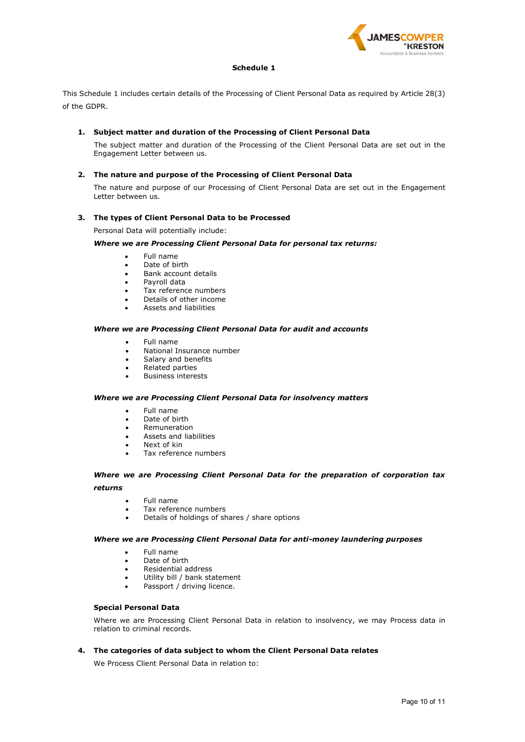

### **Schedule 1**

This Schedule 1 includes certain details of the Processing of Client Personal Data as required by Article 28(3) of the GDPR.

## **1. Subject matter and duration of the Processing of Client Personal Data**

The subject matter and duration of the Processing of the Client Personal Data are set out in the Engagement Letter between us.

## **2. The nature and purpose of the Processing of Client Personal Data**

The nature and purpose of our Processing of Client Personal Data are set out in the Engagement Letter between us.

## **3. The types of Client Personal Data to be Processed**

Personal Data will potentially include:

### *Where we are Processing Client Personal Data for personal tax returns:*

- Full name
- Date of birth
- Bank account details
- Payroll data
- Tax reference numbers
- Details of other income
- Assets and liabilities

#### *Where we are Processing Client Personal Data for audit and accounts*

- Full name
- National Insurance number
- Salary and benefits
- Related parties Business interests
- 

#### *Where we are Processing Client Personal Data for insolvency matters*

- Full name
- Date of birth
- Remuneration
- Assets and liabilities
- Next of kin
- Tax reference numbers

## *Where we are Processing Client Personal Data for the preparation of corporation tax returns*

- Full name
- Tax reference numbers
- Details of holdings of shares / share options

#### *Where we are Processing Client Personal Data for anti-money laundering purposes*

- Full name
- Date of birth
- Residential address
- Utility bill / bank statement
- Passport / driving licence.

### **Special Personal Data**

Where we are Processing Client Personal Data in relation to insolvency, we may Process data in relation to criminal records.

## **4. The categories of data subject to whom the Client Personal Data relates**

We Process Client Personal Data in relation to: